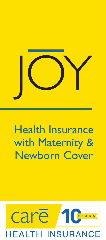

# Health Insurance with Maternity & Newborn Cover

# care  $Y E A$ **HEALTH INSURANCE**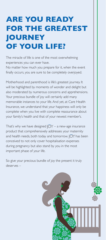# **ARE YOU READY FOR THE GREATEST JOURNEY OF YOUR LIFE?**

The miracle of life is one of the most overwhelming experiences you can ever have.

No matter how much you prepare for it, when the event finally occurs, you are sure to be completely overjoyed.

Motherhood and parenthood is life's greatest journey. It will be highlighted by moments of wonder and delight but also moderated by numerous concerns and apprehensions. Your precious bundle of joy will certainly add many memorable instances to your life. And yet, at Care Health Insurance, we understand that your happiness will only be complete when you live with complete reassurance about your family's health and that of your newest member's.

That's why we have designed  $|\overline{O}Y - a$  new-age insurance product that comprehensively addresses your maternity and health needs, both today and tomorrow.  $|\overline{O}Y|$  has been conceived to not only cover hospitalisation expenses during pregnancy but also stand by you in the most important phase of your life.

So give your precious bundle of joy the present it truly deserves –

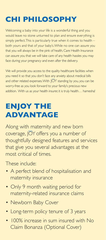# **CHI PHILOSOPHY**

Welcoming a baby into your life is a wonderful thing and you would leave no stone unturned to plan and ensure everything is simply perfect. This is particularly true when it comes to health – both yours and that of your baby's. While no one can assure you that you will always be in the pink of health, Care Health Insurance can assure you that we will take care of any health hassles you may face during your pregnancy and even after the delivery.

We will provide you access to the quality healthcare facilities when you need it so that you don't face any anxiety about medical bills and other related expenses. With  $|\overline{OY}$  standing by you, you can be worry-free as you look forward to your family's precious new addition. With us as your health insurer, it is truly health… hamesha!

# **ENJOY THE ADVANTAGE**

Along with maternity and new born coverage,  $\overline{O}Y$  offers you a number of thoughtfully designed features and services that give you several advantages at the most critical of times.

These include:

- A perfect blend of hospitalisation and maternity insurance
- Only 9 month waiting period for maternity-related insurance claims
- Newborn Baby Cover
- Long-term policy tenure of 3 years
- 100% increase in sum insured with No Claim Bonanza (Optional Cover)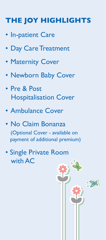# **THE JOY HIGHLIGHTS**

- In-patient Care
- Day Care Treatment
- Maternity Cover
- Newborn Baby Cover
- Pre & Post Hospitalisation Cover
- Ambulance Cover
- No Claim Bonanza (Optional Cover - available on payment of additional premium)
- Single Private Room with AC

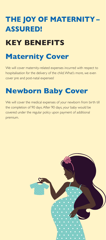# **THE JOY OF MATERNITY – ASSURED!**

# **KEY BENEFITS**

# **Maternity Cover**

We will cover maternity-related expenses incurred with respect to hospitalisation for the delivery of the child. What's more, we even cover pre and post-natal expenses!

### **Newborn Baby Cover**

We will cover the medical expenses of your newborn from birth till the completion of 90 days. After 90 days, your baby would be covered under the regular policy upon payment of additional premium.

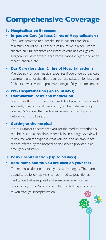### **Comprehensive Coverage**

#### **1. Hospitalisation Expenses**

#### **• In-patient Care (at least 24 hrs of Hospitalisation )**

If you are admitted to a hospital for in-patient care, for a minimum period of 24 consecutive hours, we pay for - room charges, nursing expenses and intensive care unit charges to surgeon's fee, doctor's fee, anaesthesia, blood, oxygen, operation theatre charges, etc.

#### **• Day Care (less than 24 hrs of Hospitalisation )** We also pay for your medical expenses if you undergo day care treatment at a hospital that requires hospitalisation for less than 24 hours – we cover comprehensive range of day care treatments.

#### **2. Pre-Hospitalisation (Up to 30 days) • Examination, tests and medication**

 Sometimes the procedures that finally lead you to hospital, such as investigative tests and medication, can be quite financially draining. We cover the medical expenses incurred by you before your hospitalisation.

#### **• Getting to the hospital**

It is our utmost concern that you get the medical attention you require as soon as possible, especially in an emergency. We will reimburse you for expenses that you incur on an ambulance service offered by the hospital or any service provider, in an emergency situation.

#### **3. Post-Hospitalisation (Up to 60 days)**

#### **• Back home and till you are back on your feet**

The expenses don't end once you are discharged. There are bound to be follow-up visits to your medical practitioner, medication that is required and sometimes even further confirmatory tests. We also cover the medical expenses incurred by you after your hospitalisation.

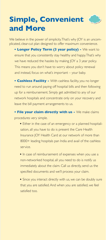# **Simple, Convenient and More**

We believe in the power of simplicity. That's why JOY is an uncomplicated, clear-cut plan designed to offer maximum convenience.

**• Longer Policy Term (3 year policy) -** We want to ensure that you consistently stay healthy and happy. That's why we have reduced the hassles by making JOY a 3 year policy. This means you don't have to worry about policy renewal and instead, focus on what's important – your baby.

**• Cashless Facility -** With cashless facility, you no longer need to run around paying off hospital bills and then following up for a reimbursement. Simply get admitted to any of our network hospitals and concentrate only on your recovery and leave the bill payment arrangements to us.

**• File your claim directly with us -** We make claims procedures very simple.

- Either in the case of an emergency or a planned hospitalisation, all you have to do is present the Care Health Insurance JOY Health Card at our network of more than 8000+ leading hospitals pan India and avail of the cashless service.
- In case of reimbursement of expenses when you use a non-networked hospital, all you need to do is notify us immediately about the claim. Call us directly, send us the specified documents and we'll process your claim.
- Since you interact directly with us, we can be doubly sure that you are satisfied. And when you are satisfied, we feel satisfied too.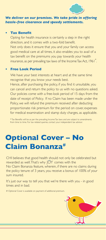

#### *We deliver on our promises. We take pride in offering hassle-free clearance and speedy settlements.*

#### **• Tax Benefit**

 Opting for health insurance is certainly a step in the right direction, and it comes with a two-fold benefit. Not only does it ensure that you and your family can access good medical care at all times, it also enables you to avail of a tax benefit on the premiums you pay towards your health insurance, as per prevailing tax laws of the Income Tax Act, 1961<sup>°</sup>.

#### **• Free Look Period**

We have your best interests at heart and at the same time recognise that you know your needs best.

Hence, after purchasing the policy, if you find it unsuitable, you can cancel and return the policy to us with no questions asked. Our policies come with a free-look period of 15 days from the date of receipt of Policy. If no Claim has been made under the Policy, we will refund the premium received after deducting proportionate risk premium for the period on cover, expenses for medical examination and stamp duty charges, as applicable.

\* Tax Benefits will be as per the prevailing Income Tax laws and are subject to amendments from time to time. For tax related queries, contact your independent tax advisor.

## **Optional Cover – No Claim Bonanza#**

CHI believes that good health should not only be celebrated but rewarded as well. That's why  $|\overline{OY}|$  comes with the No Claim Bonanza feature, wherein, if there are no claims during the policy tenure of 3 years, you receive a bonus of 100% of your sum insured.

It's just our way to tell you that we're there with you - in good times and in bad.

# Optional Cover is available on payment of additional premium.

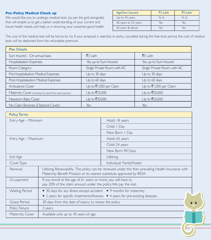#### **Pre-Policy Medical Check up**

We would like you to undergo medical tests (as per the grid alongside) that will enable us to get a better understanding of your current and future health needs, and help us in ensuring your sustained good health.

| Age/Sum Insured      | ₹3 Lakh | ₹5 Lakh |
|----------------------|---------|---------|
| Up to 45 years       | N A     | N.A.    |
| 46 years to 55 years | Yes     | Yes     |
| 56 years & above     | Yes     | Yes     |

The cost of the medical test will be borne by Us. If your proposal is rejected, or policy cancelled during the free-look period, the cost of medical tests will be deducted from the refundable premium.

| <b>Plan Details</b>                                         |                             |                             |  |  |
|-------------------------------------------------------------|-----------------------------|-----------------------------|--|--|
| Sum Insured - On annual basis                               | $\overline{3}$ Lakh         | $\overline{55}$ Lakh        |  |  |
| Hospitalisation Expenses                                    | Yes, up to Sum Insured      | Yes, up to Sum Insured      |  |  |
| Room Category                                               | Single Private Room with AC | Single Private Room with AC |  |  |
| Pre-Hospitalisation Medical Expenses                        | Up to 30 days               | Up to 30 days               |  |  |
| Post-Hospitalisation Medical Expenses                       | Up to 60 days               | Up to 60 days               |  |  |
| Ambulance Cover                                             | Up to ₹1,000 per Claim      | Up to ₹1,000 per Claim      |  |  |
| Maternity Cover (including Pre-natal & Post-natal expenses) | Up to ₹35,000               | Up to ₹50,000               |  |  |
| Newborn Baby Cover                                          | Up to ₹30,000               | Up to ₹50,000               |  |  |
| No Claim Bonanza (Optional Cover)                           | Yes                         | Yes                         |  |  |

| <b>Policy Terms</b>   |                                                                                                                                                                           |                           |  |
|-----------------------|---------------------------------------------------------------------------------------------------------------------------------------------------------------------------|---------------------------|--|
| Entry Age - Minimum   |                                                                                                                                                                           | Adult: 18 years           |  |
|                       |                                                                                                                                                                           | Child: I Day              |  |
|                       |                                                                                                                                                                           | New Born: I Day           |  |
| Entry Age - Maximum   |                                                                                                                                                                           | Adult: 65 years           |  |
|                       |                                                                                                                                                                           | Child: 24 years           |  |
|                       |                                                                                                                                                                           | New Born: 90 Days         |  |
| Exit Age              |                                                                                                                                                                           | Lifelong                  |  |
| Cover Type            |                                                                                                                                                                           | Individual/ FamilyFloater |  |
| Renewal               | Lifelong Renewability. The policy can be renewed under the then prevailing Health Insurance with<br>Maternity Benefit Product or its nearest substitute approved by IRDA. |                           |  |
| Co-payment            | If you enroll at the age of 61 years or more, you will have to<br>pay 20% of the claim amount under the policy. We pay the rest.                                          |                           |  |
| <b>Waiting Period</b> | • 30 days for any illness except accident • 9 months for maternity<br>• 2 years for specific treatments/illnesses • 4 years for pre-existing diseases                     |                           |  |
| Grace Period          | 30 days from the date of expiry to renew the policy                                                                                                                       |                           |  |
| Policy Tenure         | 3 years                                                                                                                                                                   |                           |  |
| Maternity Cover       | Available only up to 45 years of age                                                                                                                                      |                           |  |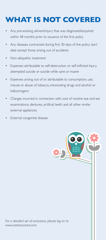### WHAT IS NOT **COVE**

- Any pre-existing ailment/injury that was diagnosed/acquired within 48 months prior to issuance of the first policy
- Any diseases contracted during first 30 days of the policy start date except those arising out of accidents
- Non-allopathic treatment
- Expenses attributable to self-destruction or self-inflicted Injury, attempted suicide or suicide while sane or insane
- Expenses arising out of or attributable to consumption, use, misuse or abuse of tobacco, intoxicating drugs and alcohol or hallucinogens
- Charges incurred in connection with cost of routine eye and ear examinations, dentures, artificial teeth and all other similar external appliances
- **External congenital disease**